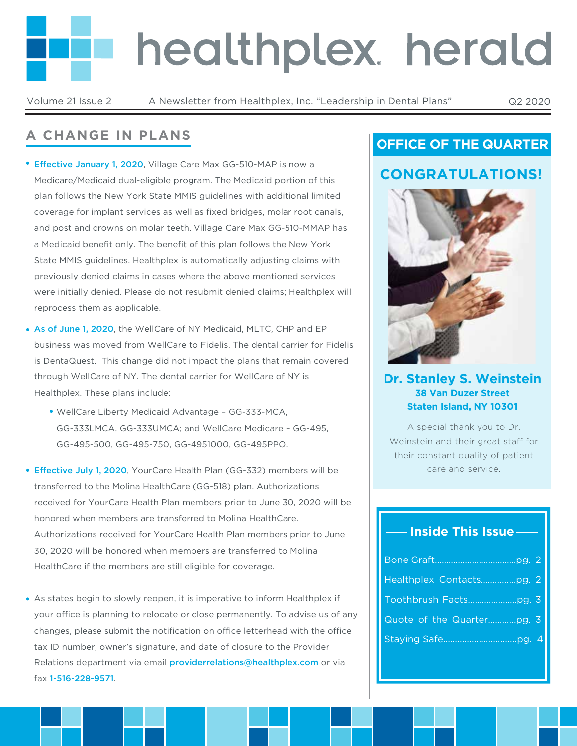# healthplex herald

Volume 21 Issue 2 A Newsletter from Healthplex, Inc. "Leadership in Dental Plans" Q2 2020

# **A CHANGE IN PLANS**

- **Effective January 1, 2020**, Village Care Max GG-510-MAP is now a Medicare/Medicaid dual-eligible program. The Medicaid portion of this plan follows the New York State MMIS guidelines with additional limited coverage for implant services as well as fixed bridges, molar root canals, and post and crowns on molar teeth. Village Care Max GG-510-MMAP has a Medicaid benefit only. The benefit of this plan follows the New York State MMIS guidelines. Healthplex is automatically adjusting claims with previously denied claims in cases where the above mentioned services were initially denied. Please do not resubmit denied claims; Healthplex will reprocess them as applicable.
- As of June 1, 2020, the WellCare of NY Medicaid, MLTC, CHP and EP business was moved from WellCare to Fidelis. The dental carrier for Fidelis is DentaQuest. This change did not impact the plans that remain covered through WellCare of NY. The dental carrier for WellCare of NY is Healthplex. These plans include:
	- WellCare Liberty Medicaid Advantage GG-333-MCA, GG-333LMCA, GG-333UMCA; and WellCare Medicare – GG-495, GG-495-500, GG-495-750, GG-4951000, GG-495PPO.
- Effective July 1, 2020, YourCare Health Plan (GG-332) members will be transferred to the Molina HealthCare (GG-518) plan. Authorizations received for YourCare Health Plan members prior to June 30, 2020 will be honored when members are transferred to Molina HealthCare. Authorizations received for YourCare Health Plan members prior to June 30, 2020 will be honored when members are transferred to Molina HealthCare if the members are still eligible for coverage.
- As states begin to slowly reopen, it is imperative to inform Healthplex if your office is planning to relocate or close permanently. To advise us of any changes, please submit the notification on office letterhead with the office tax ID number, owner's signature, and date of closure to the Provider Relations department via email providerrelations@healthplex.com or via fax 1-516-228-9571.

# **OFFICE OF THE QUARTER**

# **CONGRATULATIONS!**



## **Dr. Stanley S. Weinstein 38 Van Duzer Street Staten Island, NY 10301**

A special thank you to Dr. Weinstein and their great staff for their constant quality of patient care and service.

# **Inside This Issue**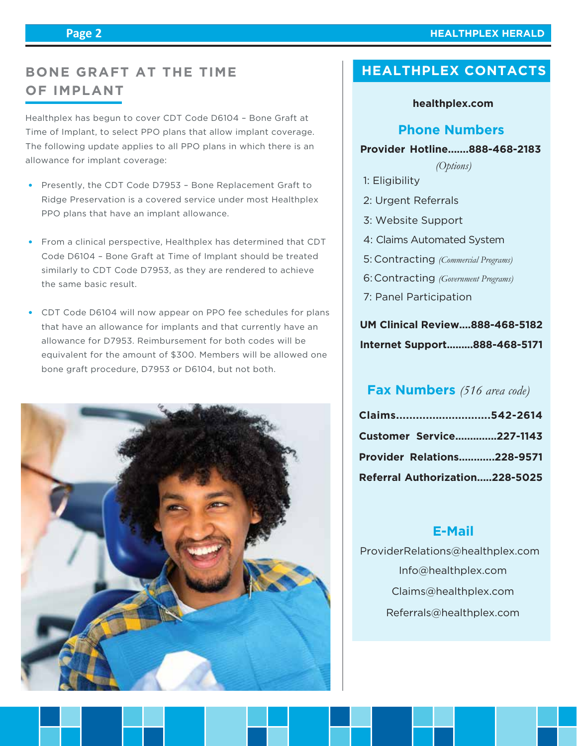#### **HEALTHPLEX HERALD**

# **BONE GRAFT AT THE TIME OF IMPLANT**

Healthplex has begun to cover CDT Code D6104 – Bone Graft at Time of Implant, to select PPO plans that allow implant coverage. The following update applies to all PPO plans in which there is an allowance for implant coverage:

- Presently, the CDT Code D7953 Bone Replacement Graft to Ridge Preservation is a covered service under most Healthplex PPO plans that have an implant allowance.
- From a clinical perspective, Healthplex has determined that CDT Code D6104 – Bone Graft at Time of Implant should be treated similarly to CDT Code D7953, as they are rendered to achieve the same basic result.
- CDT Code D6104 will now appear on PPO fee schedules for plans that have an allowance for implants and that currently have an allowance for D7953. Reimbursement for both codes will be equivalent for the amount of \$300. Members will be allowed one bone graft procedure, D7953 or D6104, but not both.



# **HEALTHPLEX CONTACTS**

#### **healthplex.com**

## **Phone Numbers**

#### **Provider Hotline.......888-468-2183**

*(Options)*

- 1: Eligibility
- 2: Urgent Referrals
- 3: Website Support
- 4: Claims Automated System
- Contracting *(Commercial Programs)* 5:
- Contracting *(Government Programs)* 6:
- 7: Panel Participation

# **UM Clinical Review....888-468-5182 Internet Support.........888-468-5171**

# **Fax Numbers** *(516 area code)*

| Claims542-2614                    |  |
|-----------------------------------|--|
| Customer Service227-1143          |  |
| <b>Provider Relations228-9571</b> |  |
| Referral Authorization228-5025    |  |

## **E-Mail**

 Info@healthplex.com ProviderRelations@healthplex.com Claims@healthplex.com Referrals@healthplex.com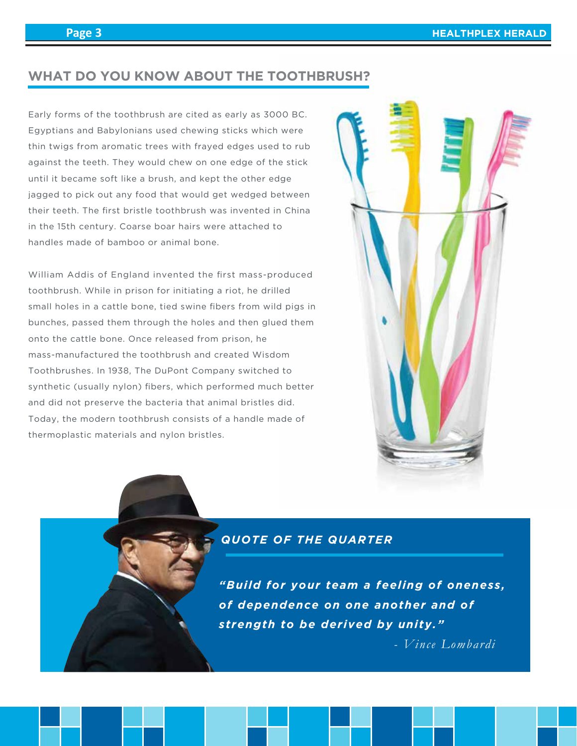## **WHAT DO YOU KNOW ABOUT THE TOOTHBRUSH?**

Early forms of the toothbrush are cited as early as 3000 BC. Egyptians and Babylonians used chewing sticks which were thin twigs from aromatic trees with frayed edges used to rub against the teeth. They would chew on one edge of the stick until it became soft like a brush, and kept the other edge jagged to pick out any food that would get wedged between their teeth. The first bristle toothbrush was invented in China in the 15th century. Coarse boar hairs were attached to handles made of bamboo or animal bone.

William Addis of England invented the first mass-produced toothbrush. While in prison for initiating a riot, he drilled small holes in a cattle bone, tied swine fibers from wild pigs in bunches, passed them through the holes and then glued them onto the cattle bone. Once released from prison, he mass-manufactured the toothbrush and created Wisdom Toothbrushes. In 1938, The DuPont Company switched to synthetic (usually nylon) fibers, which performed much better and did not preserve the bacteria that animal bristles did. Today, the modern toothbrush consists of a handle made of thermoplastic materials and nylon bristles.



# *QUOTE OF THE QUARTER*

*"Build for your team a feeling of oneness, of dependence on one another and of strength to be derived by unity."*

*- Vince Lombardi*